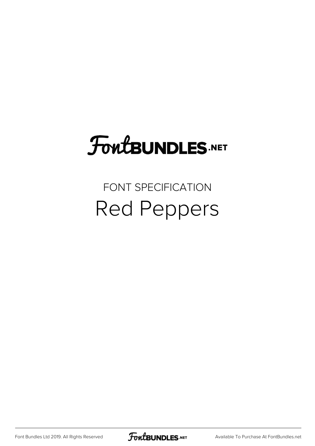### FoutBUNDLES.NET

### FONT SPECIFICATION Red Peppers

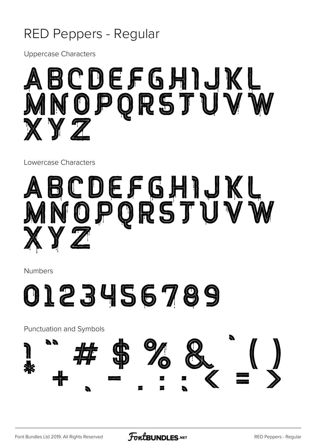### RED Peppers - Regular

**Uppercase Characters** 

# **ABCDEFGHIJK<br>ANOPQRSTUV**  $\mathbb{X}\mathbb{Y}$   $\mathbb{Z}$

Lowercase Characters

# ABCDEFGHIJKL<br>MNOPQRSTUVV

**Numbers** 



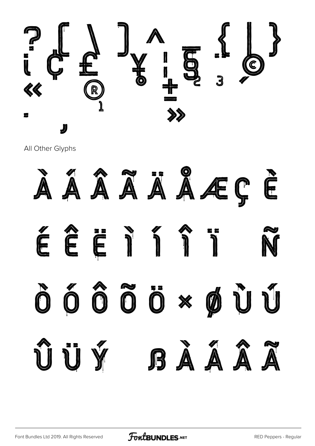

All Other Glyphs

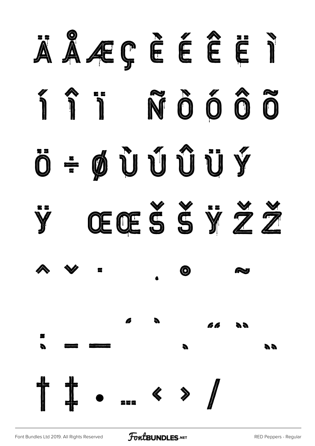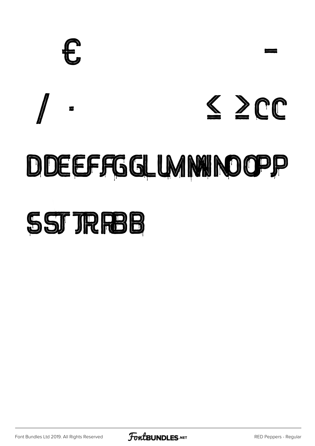

## DDEEFFGGLUMMINOOPP

# **SST JRRBB**

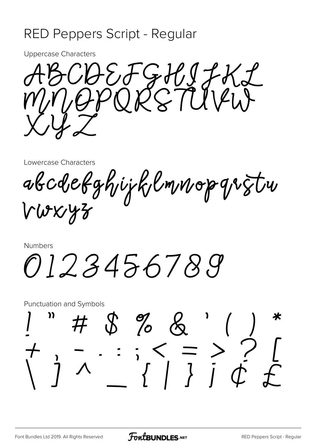#### RED Peppers Script - Regular

Uppercase Characters



Lowercase Characters

abcdefghijklmnopqrstu vwxyz

Numbers

0123456789

Punctuation and Symbols 1 " # \$ % & ' ( ) \* + , - . : ; < = > ? [  $\setminus$  ]  $\cap$   $\setminus$  {  $\setminus$  }  $\setminus$   $\downarrow$   $\downarrow$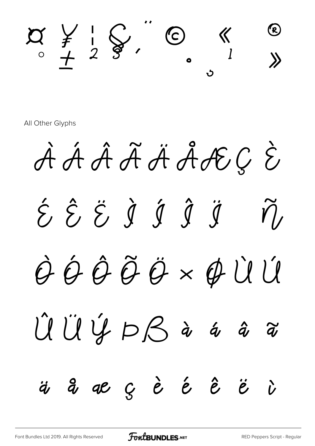$\alpha \neq \alpha \leqslant 0$   $\alpha$  $\begin{array}{ccccccc} \circ & \pm & \stackrel{\frown}{\phantom{}^{\sim}} & & & \circ & & \rightarrow & \rightarrow \end{array}$ 

All Other Glyphs

 $\hat{A} \hat{A} \hat{A} \hat{A} \hat{A} \hat{A} \hat{B} \hat{E} \hat{G}$  $\acute{\hat{\Sigma}}$   $\acute{\hat{\Sigma}}$   $\acute{\hat{\Sigma}}$   $\acute{\hat{\Sigma}}$   $\acute{\hat{\Sigma}}$   $\acute{\hat{\Sigma}}$   $\acute{\hat{\Sigma}}$   $\acute{\hat{\Sigma}}$   $\acute{\hat{\Sigma}}$   $\acute{\hat{\Sigma}}$   $\acute{\hat{\Sigma}}$   $\acute{\hat{\Sigma}}$   $\acute{\hat{\Sigma}}$   $\acute{\hat{\Sigma}}$   $\acute{\hat{\Sigma}}$   $\acute{\hat{\Sigma}}$   $\acute{\hat{\Sigma}}$   $\acute{\hat{\Sigma}}$   $\acute{\hat{\Sigma}}$   $\acute{\hat{\Sigma}}$   $\acute{\hat{\Sigma}}$   $\acute{\hat{\Sigma}}$  Ò Ó Ô Õ Ö × Ø Ù Ú Û Ü Ý Þ ß à á â ã ä å æ ç è é ê ë ì

[Font Bundles Ltd 2019. All Rights Reserved](https://fontbundles.net/) **FoutBUNDLES.NET** [RED Peppers Script - Regular](https://fontbundles.net/)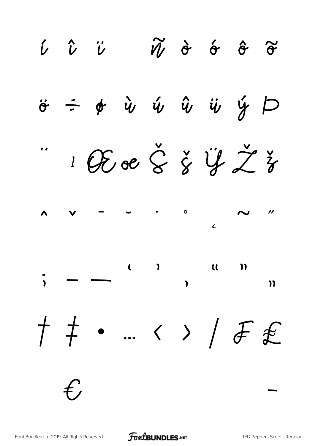$\widetilde{W}$   $\dot{\sigma}$   $\acute{\sigma}$   $\widetilde{\sigma}$  $\hat{\nu}$   $\hat{\nu}$   $\ddot{\nu}$  $\boldsymbol{\hat{\psi}}$  $\acute{u}$   $\hat{u}$   $\ddot{u}$   $\acute{y}$   $\dot{\mathsf{D}}$  $\phi$  $\ddot{\sigma}$ 1 Obse  $\check{\zeta}$   $\check{y}$   $\check{z}$   $\check{y}$  $\circ$  $\prime$  $\epsilon$  $\overline{\phantom{a}}$  $\mathbf{C}$  $\overline{\mathbf{u}}$  $\mathbf{v}$  $\ddot{\phantom{0}}$  $\overline{\mathbf{z}}$  $\mathbf{v}$ † ‡  $\bullet$  ...  $\left\langle \right\rangle /$   $\oint$   $\oint$  $f$